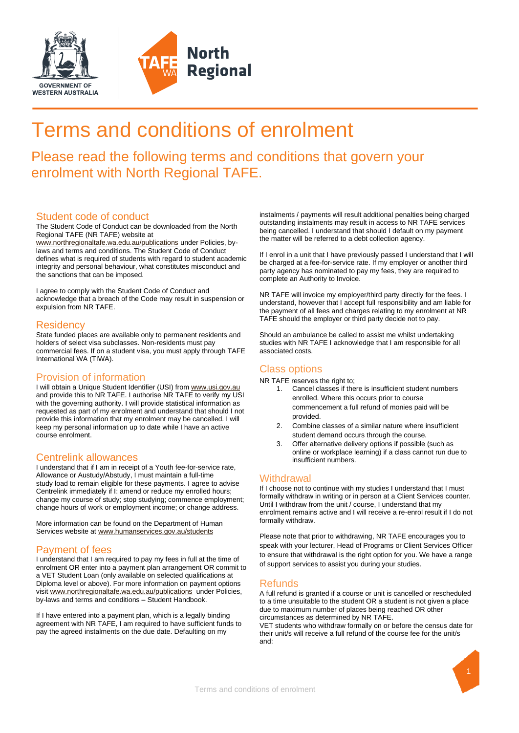



# Terms and conditions of enrolment

# Please read the following terms and conditions that govern your enrolment with North Regional TAFE.

# Student code of conduct

The Student Code of Conduct can be downloaded from the North Regional TAFE (NR TAFE) website at

[www.northregionaltafe.wa.edu.au/publications](http://www.northregionaltafe.wa.edu.au/publications) under Policies, bylaws and terms and conditions. The Student Code of Conduct defines what is required of students with regard to student academic integrity and personal behaviour, what constitutes misconduct and the sanctions that can be imposed.

I agree to comply with the Student Code of Conduct and acknowledge that a breach of the Code may result in suspension or expulsion from NR TAFE.

## **Residency**

State funded places are available only to permanent residents and holders of select visa subclasses. Non-residents must pay commercial fees. If on a student visa, you must apply through TAFE International WA (TIWA).

# Provision of information

I will obtain a Unique Student Identifier (USI) from www.usi.gov.au and provide this to NR TAFE. I authorise NR TAFE to verify my USI with the governing authority. I will provide statistical information as requested as part of my enrolment and understand that should I not provide this information that my enrolment may be cancelled. I will keep my personal information up to date while I have an active course enrolment.

## Centrelink allowances

I understand that if I am in receipt of a Youth fee-for-service rate, Allowance or Austudy/Abstudy, I must maintain a full-time study load to remain eligible for these payments. I agree to advise Centrelink immediately if I: amend or reduce my enrolled hours; change my course of study; stop studying; commence employment; change hours of work or employment income; or change address.

More information can be found on the Department of Human Services website a[t www.humanservices.gov.au/students](http://www.humanservices.gov.au/students)

# Payment of fees

I understand that I am required to pay my fees in full at the time of enrolment OR enter into a payment plan arrangement OR commit to a VET Student Loan (only available on selected qualifications at Diploma level or above). For more information on payment options visi[t www.northregionaltafe.wa.edu.au/publications](http://www.northregionaltafe.wa.edu.au/publications) under Policies, by-laws and terms and conditions – Student Handbook.

If I have entered into a payment plan, which is a legally binding agreement with NR TAFE, I am required to have sufficient funds to pay the agreed instalments on the due date. Defaulting on my

instalments / payments will result additional penalties being charged outstanding instalments may result in access to NR TAFE services being cancelled. I understand that should I default on my payment the matter will be referred to a debt collection agency.

If I enrol in a unit that I have previously passed I understand that I will be charged at a fee-for-service rate. If my employer or another third party agency has nominated to pay my fees, they are required to complete an Authority to Invoice.

NR TAFE will invoice my employer/third party directly for the fees. I understand, however that I accept full responsibility and am liable for the payment of all fees and charges relating to my enrolment at NR TAFE should the employer or third party decide not to pay.

Should an ambulance be called to assist me whilst undertaking studies with NR TAFE I acknowledge that I am responsible for all associated costs.

# Class options

NR TAFE reserves the right to;

- 1. Cancel classes if there is insufficient student numbers enrolled. Where this occurs prior to course commencement a full refund of monies paid will be provided.
- 2. Combine classes of a similar nature where insufficient student demand occurs through the course.
- 3. Offer alternative delivery options if possible (such as online or workplace learning) if a class cannot run due to insufficient numbers.

# **Withdrawal**

If I choose not to continue with my studies I understand that I must formally withdraw in writing or in person at a Client Services counter. Until I withdraw from the unit / course, I understand that my enrolment remains active and I will receive a re-enrol result if I do not formally withdraw.

Please note that prior to withdrawing, NR TAFE encourages you to speak with your lecturer, Head of Programs or Client Services Officer to ensure that withdrawal is the right option for you. We have a range of support services to assist you during your studies.

## Refunds

A full refund is granted if a course or unit is cancelled or rescheduled to a time unsuitable to the student OR a student is not given a place due to maximum number of places being reached OR other circumstances as determined by NR TAFE.

VET students who withdraw formally on or before the census date for their unit/s will receive a full refund of the course fee for the unit/s and: